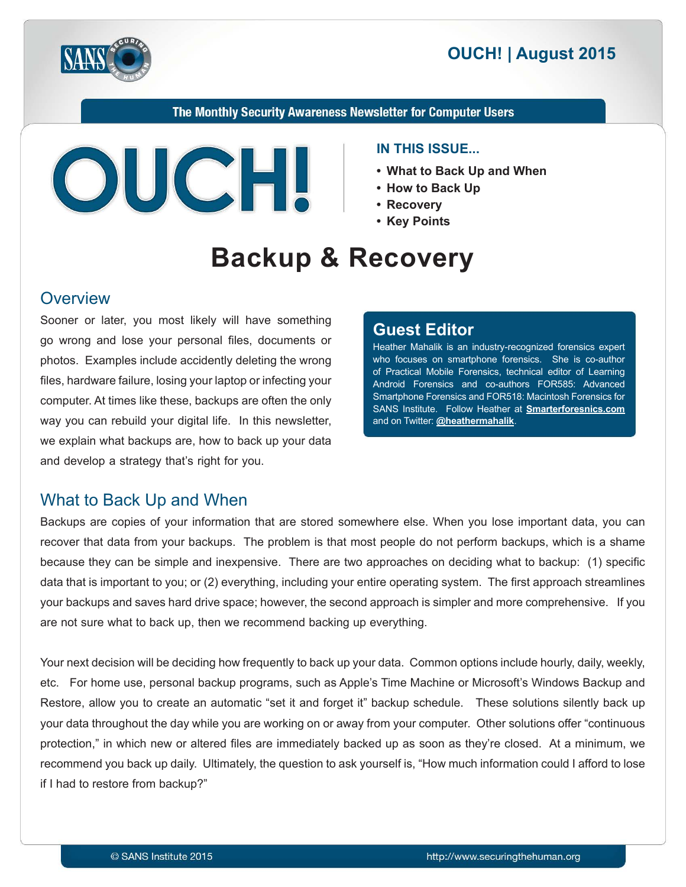

The Monthly Security Awareness Newsletter for Computer Users



#### **IN THIS ISSUE...**

- What to Back Up and When
- 
- **Recovery•**
- Key Points

# **Backup & Recovery**

### **Overview**

Sooner or later, you most likely will have something go wrong and lose your personal files, documents or photos. Examples include accidently deleting the wrong. files, hardware failure, losing your laptop or infecting your computer. At times like these, backups are often the only way you can rebuild your digital life. In this newsletter, we explain what backups are, how to back up your data and develop a strategy that's right for you.

### **Editor Guest**

Heather Mahalik is an industry-recognized forensics expert who focuses on smartphone forensics. She is co-author of Practical Mobile Forensics, technical editor of Learning Android Forensics and co-authors FOR 585: Advanced Smartphone Forensics and FOR 518: Macintosh Forensics for SANS Institute. Follow Heather at **Smarterforesnics.com** and on Twitter: @[heathermahalik](https://twitter.com/heathermahalik).

### What to Back Up and When

Backups are copies of your information that are stored somewhere else. When you lose important data, you can recover that data from your backups. The problem is that most people do not perform backups, which is a shame because they can be simple and inexpensive. There are two approaches on deciding what to backup: (1) specific data that is important to you; or (2) everything, including your entire operating system. The first approach streamlines your backups and saves hard drive space; however, the second approach is simpler and more comprehensive. If you are not sure what to back up, then we recommend backing up everything.

Your next decision will be deciding how frequently to back up your data. Common options include hourly, daily, weekly, etc. For home use, personal backup programs, such as Apple's Time Machine or Microsoft's Windows Backup and Restore, allow you to create an automatic "set it and forget it" backup schedule. These solutions silently back up your data throughout the day while you are working on or away from your computer. Other solutions offer "continuous" protection," in which new or altered files are immediately backed up as soon as they're closed. At a minimum, we recommend you back up daily. Ultimately, the question to ask yourself is, "How much information could I afford to lose if I had to restore from backup?"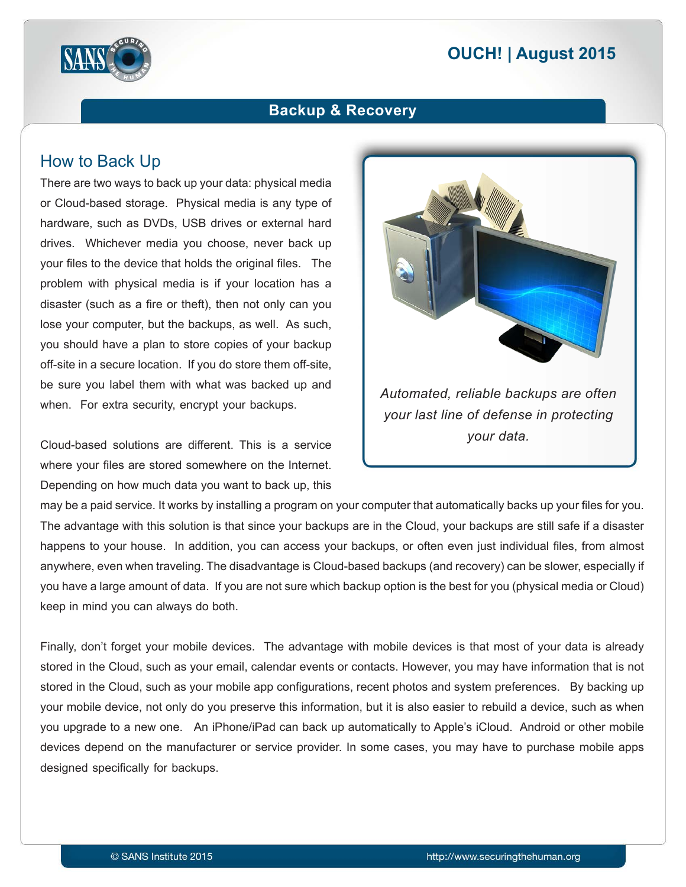# **2015 | OUCH! | August 2015**



### **Backup & Recovery**

### How to Back Up

There are two ways to back up your data: physical media or Cloud-based storage. Physical media is any type of hardware, such as DVDs, USB drives or external hard drives. Whichever media you choose, never back up your files to the device that holds the original files. The problem with physical media is if your location has a disaster (such as a fire or theft), then not only can you lose your computer, but the backups, as well. As such, you should have a plan to store copies of your backup off-site in a secure location. If you do store them off-site, be sure you label them with what was backed up and when. For extra security, encrypt your backups.

Cloud-based solutions are different. This is a service where your files are stored somewhere on the Internet. Depending on how much data you want to back up, this



may be a paid service. It works by installing a program on your computer that automatically backs up your files for you. The advantage with this solution is that since your backups are in the Cloud, your backups are still safe if a disaster happens to your house. In addition, you can access your backups, or often even just individual files, from almost anywhere, even when traveling. The disadvantage is Cloud-based backups (and recovery) can be slower, especially if you have a large amount of data. If you are not sure which backup option is the best for you (physical media or Cloud) keep in mind you can always do both.

Finally, don't forget your mobile devices. The advantage with mobile devices is that most of your data is already stored in the Cloud, such as your email, calendar events or contacts. However, you may have information that is not stored in the Cloud, such as your mobile app configurations, recent photos and system preferences. By backing up your mobile device, not only do you preserve this information, but it is also easier to rebuild a device, such as when you upgrade to a new one. An iPhone/iPad can back up automatically to Apple's iCloud. Android or other mobile devices depend on the manufacturer or service provider. In some cases, you may have to purchase mobile apps designed specifically for backups.